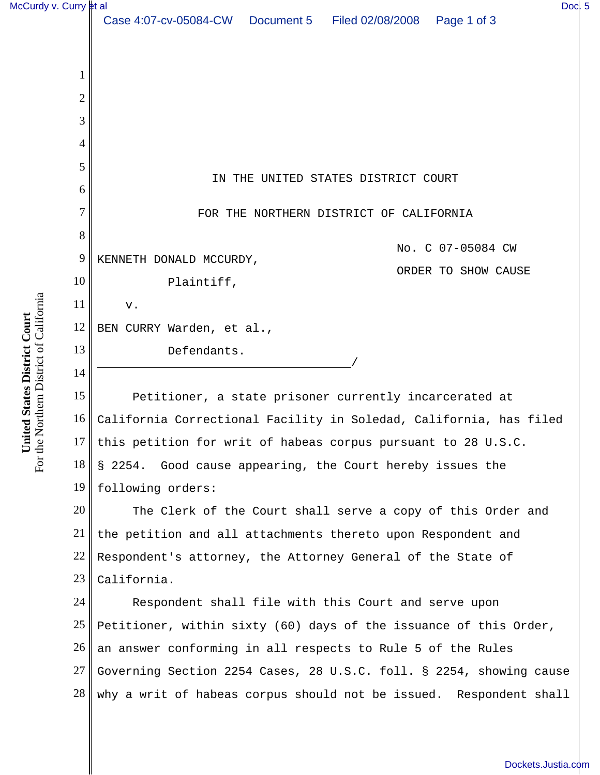| McCurdy v. Curry et al                                         |                 | Doc. 5                                                              |  |
|----------------------------------------------------------------|-----------------|---------------------------------------------------------------------|--|
|                                                                |                 | Case 4:07-cv-05084-CW  Document 5  Filed 02/08/2008  Page 1 of 3    |  |
|                                                                |                 |                                                                     |  |
|                                                                | 1               |                                                                     |  |
|                                                                | $\overline{2}$  |                                                                     |  |
|                                                                | 3               |                                                                     |  |
|                                                                | 4               |                                                                     |  |
|                                                                | 5               |                                                                     |  |
|                                                                | 6               | IN THE UNITED STATES DISTRICT COURT                                 |  |
|                                                                | 7               | FOR THE NORTHERN DISTRICT OF CALIFORNIA                             |  |
|                                                                | 8               |                                                                     |  |
|                                                                | 9               | No. C 07-05084 CW<br>KENNETH DONALD MCCURDY,                        |  |
|                                                                | 10              | ORDER TO SHOW CAUSE<br>Plaintiff,                                   |  |
|                                                                | 11              | ${\bf v}$ .                                                         |  |
|                                                                | 12              | BEN CURRY Warden, et al.,                                           |  |
| orthern District of California<br>United States District Court | 13              | Defendants.                                                         |  |
|                                                                | 14              |                                                                     |  |
|                                                                | 15              | Petitioner, a state prisoner currently incarcerated at              |  |
|                                                                | 16 <sup>1</sup> | California Correctional Facility in Soledad, California, has filed  |  |
|                                                                |                 | 17 this petition for writ of habeas corpus pursuant to 28 U.S.C.    |  |
| For the N                                                      | 18              | § 2254. Good cause appearing, the Court hereby issues the           |  |
|                                                                | 19              | following orders:                                                   |  |
|                                                                | 20              | The Clerk of the Court shall serve a copy of this Order and         |  |
|                                                                | 21              | the petition and all attachments thereto upon Respondent and        |  |
|                                                                | 22              | Respondent's attorney, the Attorney General of the State of         |  |
|                                                                | 23              | California.                                                         |  |
|                                                                | 24              | Respondent shall file with this Court and serve upon                |  |
|                                                                | 25              | Petitioner, within sixty (60) days of the issuance of this Order,   |  |
|                                                                | 26              | an answer conforming in all respects to Rule 5 of the Rules         |  |
|                                                                | 27              | Governing Section 2254 Cases, 28 U.S.C. foll. § 2254, showing cause |  |

why a writ of habeas corpus should not be issued. Respondent shall

28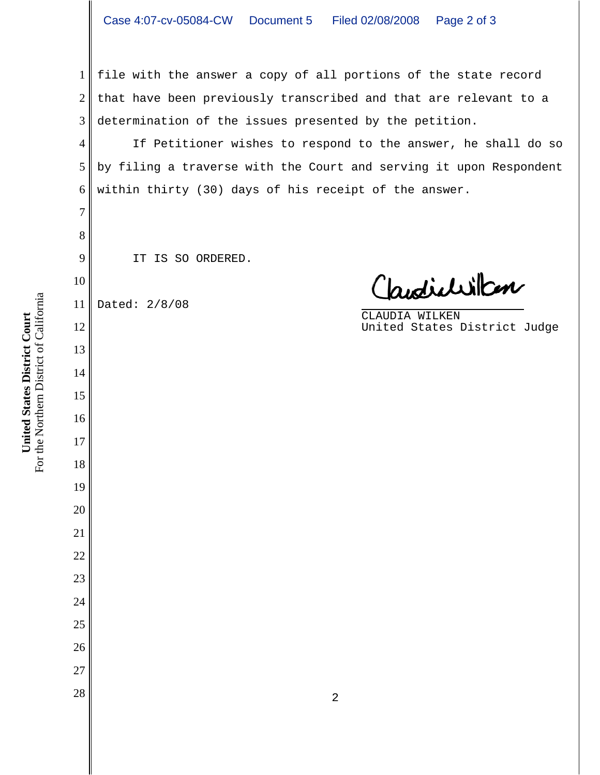file with the answer a copy of all portions of the state record that have been previously transcribed and that are relevant to a determination of the issues presented by the petition.

If Petitioner wishes to respond to the answer, he shall do so by filing a traverse with the Court and serving it upon Respondent within thirty (30) days of his receipt of the answer.

IT IS SO ORDERED.

 Dated: 2/8/08

Claudialillan

CLAUDIA WILKEN United States District Judge